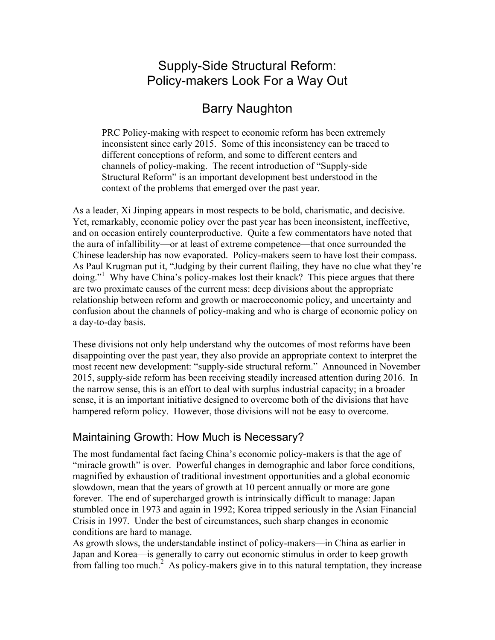# Supply-Side Structural Reform: Policy-makers Look For a Way Out

# Barry Naughton

PRC Policy-making with respect to economic reform has been extremely inconsistent since early 2015. Some of this inconsistency can be traced to different conceptions of reform, and some to different centers and channels of policy-making. The recent introduction of "Supply-side Structural Reform" is an important development best understood in the context of the problems that emerged over the past year.

As a leader, Xi Jinping appears in most respects to be bold, charismatic, and decisive. Yet, remarkably, economic policy over the past year has been inconsistent, ineffective, and on occasion entirely counterproductive. Quite a few commentators have noted that the aura of infallibility—or at least of extreme competence—that once surrounded the Chinese leadership has now evaporated. Policy-makers seem to have lost their compass. As Paul Krugman put it, "Judging by their current flailing, they have no clue what they're doing."<sup>1</sup> Why have China's policy-makes lost their knack? This piece argues that there are two proximate causes of the current mess: deep divisions about the appropriate relationship between reform and growth or macroeconomic policy, and uncertainty and confusion about the channels of policy-making and who is charge of economic policy on a day-to-day basis.

These divisions not only help understand why the outcomes of most reforms have been disappointing over the past year, they also provide an appropriate context to interpret the most recent new development: "supply-side structural reform." Announced in November 2015, supply-side reform has been receiving steadily increased attention during 2016. In the narrow sense, this is an effort to deal with surplus industrial capacity; in a broader sense, it is an important initiative designed to overcome both of the divisions that have hampered reform policy. However, those divisions will not be easy to overcome.

# Maintaining Growth: How Much is Necessary?

The most fundamental fact facing China's economic policy-makers is that the age of "miracle growth" is over. Powerful changes in demographic and labor force conditions, magnified by exhaustion of traditional investment opportunities and a global economic slowdown, mean that the years of growth at 10 percent annually or more are gone forever. The end of supercharged growth is intrinsically difficult to manage: Japan stumbled once in 1973 and again in 1992; Korea tripped seriously in the Asian Financial Crisis in 1997. Under the best of circumstances, such sharp changes in economic conditions are hard to manage.

As growth slows, the understandable instinct of policy-makers—in China as earlier in Japan and Korea—is generally to carry out economic stimulus in order to keep growth from falling too much.<sup>2</sup> As policy-makers give in to this natural temptation, they increase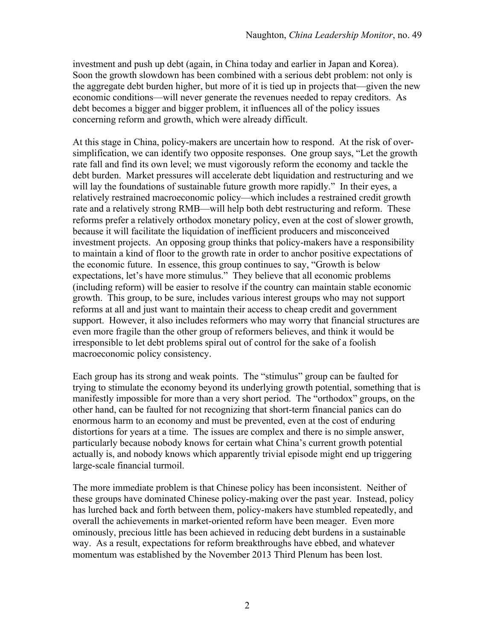investment and push up debt (again, in China today and earlier in Japan and Korea). Soon the growth slowdown has been combined with a serious debt problem: not only is the aggregate debt burden higher, but more of it is tied up in projects that—given the new economic conditions—will never generate the revenues needed to repay creditors. As debt becomes a bigger and bigger problem, it influences all of the policy issues concerning reform and growth, which were already difficult.

At this stage in China, policy-makers are uncertain how to respond. At the risk of oversimplification, we can identify two opposite responses. One group says, "Let the growth rate fall and find its own level; we must vigorously reform the economy and tackle the debt burden. Market pressures will accelerate debt liquidation and restructuring and we will lay the foundations of sustainable future growth more rapidly." In their eyes, a relatively restrained macroeconomic policy—which includes a restrained credit growth rate and a relatively strong RMB—will help both debt restructuring and reform. These reforms prefer a relatively orthodox monetary policy, even at the cost of slower growth, because it will facilitate the liquidation of inefficient producers and misconceived investment projects. An opposing group thinks that policy-makers have a responsibility to maintain a kind of floor to the growth rate in order to anchor positive expectations of the economic future. In essence, this group continues to say, "Growth is below expectations, let's have more stimulus." They believe that all economic problems (including reform) will be easier to resolve if the country can maintain stable economic growth. This group, to be sure, includes various interest groups who may not support reforms at all and just want to maintain their access to cheap credit and government support. However, it also includes reformers who may worry that financial structures are even more fragile than the other group of reformers believes, and think it would be irresponsible to let debt problems spiral out of control for the sake of a foolish macroeconomic policy consistency.

Each group has its strong and weak points. The "stimulus" group can be faulted for trying to stimulate the economy beyond its underlying growth potential, something that is manifestly impossible for more than a very short period. The "orthodox" groups, on the other hand, can be faulted for not recognizing that short-term financial panics can do enormous harm to an economy and must be prevented, even at the cost of enduring distortions for years at a time. The issues are complex and there is no simple answer, particularly because nobody knows for certain what China's current growth potential actually is, and nobody knows which apparently trivial episode might end up triggering large-scale financial turmoil.

The more immediate problem is that Chinese policy has been inconsistent. Neither of these groups have dominated Chinese policy-making over the past year. Instead, policy has lurched back and forth between them, policy-makers have stumbled repeatedly, and overall the achievements in market-oriented reform have been meager. Even more ominously, precious little has been achieved in reducing debt burdens in a sustainable way. As a result, expectations for reform breakthroughs have ebbed, and whatever momentum was established by the November 2013 Third Plenum has been lost.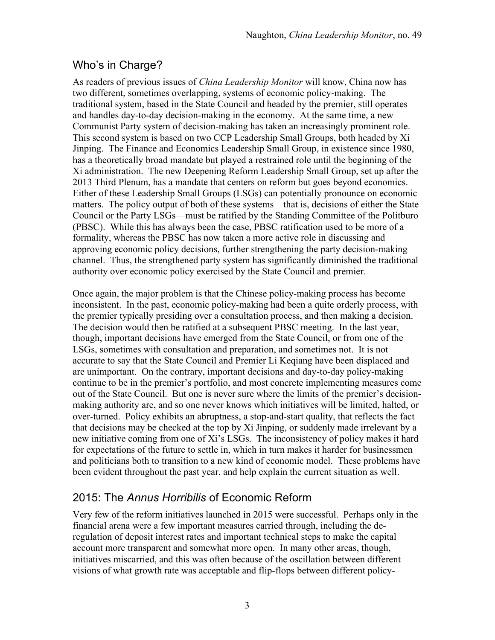# Who's in Charge?

As readers of previous issues of *China Leadership Monitor* will know, China now has two different, sometimes overlapping, systems of economic policy-making. The traditional system, based in the State Council and headed by the premier, still operates and handles day-to-day decision-making in the economy. At the same time, a new Communist Party system of decision-making has taken an increasingly prominent role. This second system is based on two CCP Leadership Small Groups, both headed by Xi Jinping. The Finance and Economics Leadership Small Group, in existence since 1980, has a theoretically broad mandate but played a restrained role until the beginning of the Xi administration. The new Deepening Reform Leadership Small Group, set up after the 2013 Third Plenum, has a mandate that centers on reform but goes beyond economics. Either of these Leadership Small Groups (LSGs) can potentially pronounce on economic matters. The policy output of both of these systems—that is, decisions of either the State Council or the Party LSGs—must be ratified by the Standing Committee of the Politburo (PBSC). While this has always been the case, PBSC ratification used to be more of a formality, whereas the PBSC has now taken a more active role in discussing and approving economic policy decisions, further strengthening the party decision-making channel. Thus, the strengthened party system has significantly diminished the traditional authority over economic policy exercised by the State Council and premier.

Once again, the major problem is that the Chinese policy-making process has become inconsistent. In the past, economic policy-making had been a quite orderly process, with the premier typically presiding over a consultation process, and then making a decision. The decision would then be ratified at a subsequent PBSC meeting. In the last year, though, important decisions have emerged from the State Council, or from one of the LSGs, sometimes with consultation and preparation, and sometimes not. It is not accurate to say that the State Council and Premier Li Keqiang have been displaced and are unimportant. On the contrary, important decisions and day-to-day policy-making continue to be in the premier's portfolio, and most concrete implementing measures come out of the State Council. But one is never sure where the limits of the premier's decisionmaking authority are, and so one never knows which initiatives will be limited, halted, or over-turned. Policy exhibits an abruptness, a stop-and-start quality, that reflects the fact that decisions may be checked at the top by Xi Jinping, or suddenly made irrelevant by a new initiative coming from one of Xi's LSGs. The inconsistency of policy makes it hard for expectations of the future to settle in, which in turn makes it harder for businessmen and politicians both to transition to a new kind of economic model. These problems have been evident throughout the past year, and help explain the current situation as well.

## 2015: The *Annus Horribilis* of Economic Reform

Very few of the reform initiatives launched in 2015 were successful. Perhaps only in the financial arena were a few important measures carried through, including the deregulation of deposit interest rates and important technical steps to make the capital account more transparent and somewhat more open. In many other areas, though, initiatives miscarried, and this was often because of the oscillation between different visions of what growth rate was acceptable and flip-flops between different policy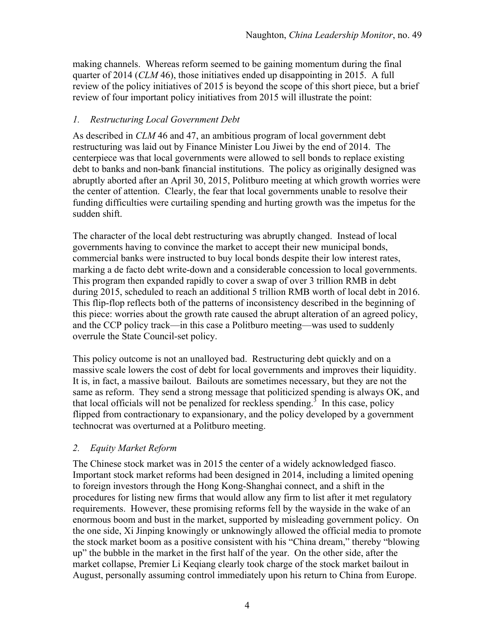making channels. Whereas reform seemed to be gaining momentum during the final quarter of 2014 (*CLM* 46), those initiatives ended up disappointing in 2015. A full review of the policy initiatives of 2015 is beyond the scope of this short piece, but a brief review of four important policy initiatives from 2015 will illustrate the point:

### *1. Restructuring Local Government Debt*

As described in *CLM* 46 and 47, an ambitious program of local government debt restructuring was laid out by Finance Minister Lou Jiwei by the end of 2014. The centerpiece was that local governments were allowed to sell bonds to replace existing debt to banks and non-bank financial institutions. The policy as originally designed was abruptly aborted after an April 30, 2015, Politburo meeting at which growth worries were the center of attention. Clearly, the fear that local governments unable to resolve their funding difficulties were curtailing spending and hurting growth was the impetus for the sudden shift.

The character of the local debt restructuring was abruptly changed. Instead of local governments having to convince the market to accept their new municipal bonds, commercial banks were instructed to buy local bonds despite their low interest rates, marking a de facto debt write-down and a considerable concession to local governments. This program then expanded rapidly to cover a swap of over 3 trillion RMB in debt during 2015, scheduled to reach an additional 5 trillion RMB worth of local debt in 2016. This flip-flop reflects both of the patterns of inconsistency described in the beginning of this piece: worries about the growth rate caused the abrupt alteration of an agreed policy, and the CCP policy track—in this case a Politburo meeting—was used to suddenly overrule the State Council-set policy.

This policy outcome is not an unalloyed bad. Restructuring debt quickly and on a massive scale lowers the cost of debt for local governments and improves their liquidity. It is, in fact, a massive bailout. Bailouts are sometimes necessary, but they are not the same as reform. They send a strong message that politicized spending is always OK, and that local officials will not be penalized for reckless spending.<sup>3</sup> In this case, policy flipped from contractionary to expansionary, and the policy developed by a government technocrat was overturned at a Politburo meeting.

### *2. Equity Market Reform*

The Chinese stock market was in 2015 the center of a widely acknowledged fiasco. Important stock market reforms had been designed in 2014, including a limited opening to foreign investors through the Hong Kong-Shanghai connect, and a shift in the procedures for listing new firms that would allow any firm to list after it met regulatory requirements. However, these promising reforms fell by the wayside in the wake of an enormous boom and bust in the market, supported by misleading government policy. On the one side, Xi Jinping knowingly or unknowingly allowed the official media to promote the stock market boom as a positive consistent with his "China dream," thereby "blowing up" the bubble in the market in the first half of the year. On the other side, after the market collapse, Premier Li Keqiang clearly took charge of the stock market bailout in August, personally assuming control immediately upon his return to China from Europe.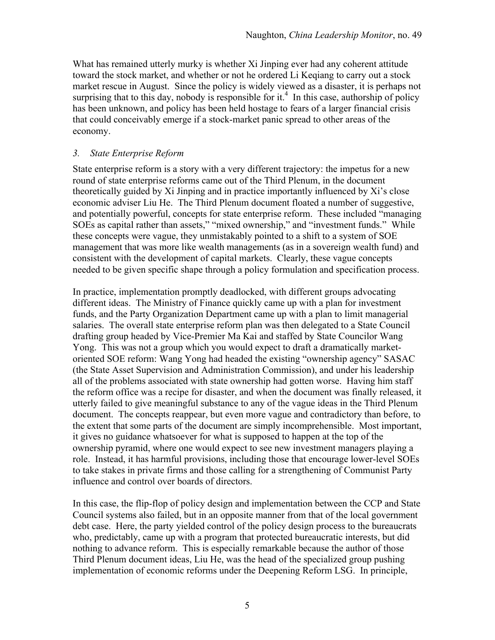What has remained utterly murky is whether Xi Jinping ever had any coherent attitude toward the stock market, and whether or not he ordered Li Keqiang to carry out a stock market rescue in August. Since the policy is widely viewed as a disaster, it is perhaps not surprising that to this day, nobody is responsible for it.<sup>4</sup> In this case, authorship of policy has been unknown, and policy has been held hostage to fears of a larger financial crisis that could conceivably emerge if a stock-market panic spread to other areas of the economy.

### *3. State Enterprise Reform*

State enterprise reform is a story with a very different trajectory: the impetus for a new round of state enterprise reforms came out of the Third Plenum, in the document theoretically guided by Xi Jinping and in practice importantly influenced by Xi's close economic adviser Liu He. The Third Plenum document floated a number of suggestive, and potentially powerful, concepts for state enterprise reform. These included "managing SOEs as capital rather than assets," "mixed ownership," and "investment funds." While these concepts were vague, they unmistakably pointed to a shift to a system of SOE management that was more like wealth managements (as in a sovereign wealth fund) and consistent with the development of capital markets. Clearly, these vague concepts needed to be given specific shape through a policy formulation and specification process.

In practice, implementation promptly deadlocked, with different groups advocating different ideas. The Ministry of Finance quickly came up with a plan for investment funds, and the Party Organization Department came up with a plan to limit managerial salaries. The overall state enterprise reform plan was then delegated to a State Council drafting group headed by Vice-Premier Ma Kai and staffed by State Councilor Wang Yong. This was not a group which you would expect to draft a dramatically marketoriented SOE reform: Wang Yong had headed the existing "ownership agency" SASAC (the State Asset Supervision and Administration Commission), and under his leadership all of the problems associated with state ownership had gotten worse. Having him staff the reform office was a recipe for disaster, and when the document was finally released, it utterly failed to give meaningful substance to any of the vague ideas in the Third Plenum document. The concepts reappear, but even more vague and contradictory than before, to the extent that some parts of the document are simply incomprehensible. Most important, it gives no guidance whatsoever for what is supposed to happen at the top of the ownership pyramid, where one would expect to see new investment managers playing a role. Instead, it has harmful provisions, including those that encourage lower-level SOEs to take stakes in private firms and those calling for a strengthening of Communist Party influence and control over boards of directors.

In this case, the flip-flop of policy design and implementation between the CCP and State Council systems also failed, but in an opposite manner from that of the local government debt case. Here, the party yielded control of the policy design process to the bureaucrats who, predictably, came up with a program that protected bureaucratic interests, but did nothing to advance reform. This is especially remarkable because the author of those Third Plenum document ideas, Liu He, was the head of the specialized group pushing implementation of economic reforms under the Deepening Reform LSG. In principle,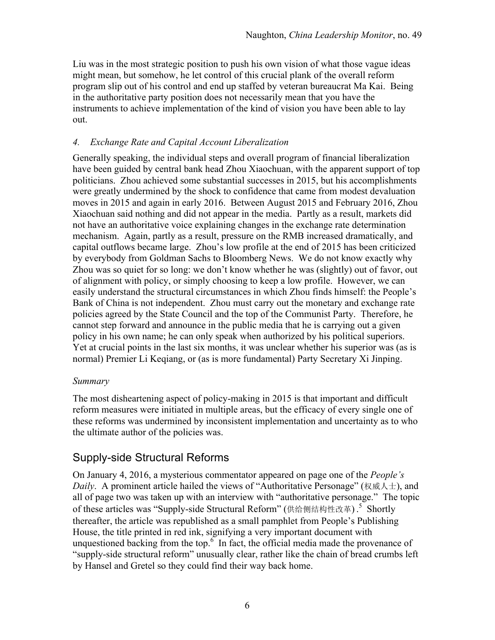Liu was in the most strategic position to push his own vision of what those vague ideas might mean, but somehow, he let control of this crucial plank of the overall reform program slip out of his control and end up staffed by veteran bureaucrat Ma Kai. Being in the authoritative party position does not necessarily mean that you have the instruments to achieve implementation of the kind of vision you have been able to lay out.

### *4. Exchange Rate and Capital Account Liberalization*

Generally speaking, the individual steps and overall program of financial liberalization have been guided by central bank head Zhou Xiaochuan, with the apparent support of top politicians. Zhou achieved some substantial successes in 2015, but his accomplishments were greatly undermined by the shock to confidence that came from modest devaluation moves in 2015 and again in early 2016. Between August 2015 and February 2016, Zhou Xiaochuan said nothing and did not appear in the media. Partly as a result, markets did not have an authoritative voice explaining changes in the exchange rate determination mechanism. Again, partly as a result, pressure on the RMB increased dramatically, and capital outflows became large. Zhou's low profile at the end of 2015 has been criticized by everybody from Goldman Sachs to Bloomberg News. We do not know exactly why Zhou was so quiet for so long: we don't know whether he was (slightly) out of favor, out of alignment with policy, or simply choosing to keep a low profile. However, we can easily understand the structural circumstances in which Zhou finds himself: the People's Bank of China is not independent. Zhou must carry out the monetary and exchange rate policies agreed by the State Council and the top of the Communist Party. Therefore, he cannot step forward and announce in the public media that he is carrying out a given policy in his own name; he can only speak when authorized by his political superiors. Yet at crucial points in the last six months, it was unclear whether his superior was (as is normal) Premier Li Keqiang, or (as is more fundamental) Party Secretary Xi Jinping.

#### *Summary*

The most disheartening aspect of policy-making in 2015 is that important and difficult reform measures were initiated in multiple areas, but the efficacy of every single one of these reforms was undermined by inconsistent implementation and uncertainty as to who the ultimate author of the policies was.

### Supply-side Structural Reforms

On January 4, 2016, a mysterious commentator appeared on page one of the *People's Daily*. A prominent article hailed the views of "Authoritative Personage" (权威人士), and all of page two was taken up with an interview with "authoritative personage." The topic of these articles was "Supply-side Structural Reform" (供给侧结构性改革).<sup>5</sup> Shortly thereafter, the article was republished as a small pamphlet from People's Publishing House, the title printed in red ink, signifying a very important document with unquestioned backing from the top. $\frac{6}{5}$  In fact, the official media made the provenance of "supply-side structural reform" unusually clear, rather like the chain of bread crumbs left by Hansel and Gretel so they could find their way back home.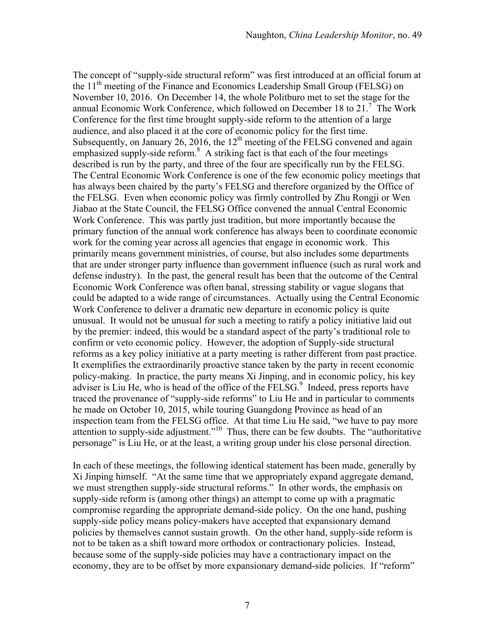The concept of "supply-side structural reform" was first introduced at an official forum at the 11<sup>th</sup> meeting of the Finance and Economics Leadership Small Group (FELSG) on November 10, 2016. On December 14, the whole Politburo met to set the stage for the annual Economic Work Conference, which followed on December 18 to 21.<sup>7</sup> The Work Conference for the first time brought supply-side reform to the attention of a large audience, and also placed it at the core of economic policy for the first time. Subsequently, on January 26, 2016, the  $12<sup>th</sup>$  meeting of the FELSG convened and again emphasized supply-side reform.<sup>8</sup> A striking fact is that each of the four meetings described is run by the party, and three of the four are specifically run by the FELSG. The Central Economic Work Conference is one of the few economic policy meetings that has always been chaired by the party's FELSG and therefore organized by the Office of the FELSG. Even when economic policy was firmly controlled by Zhu Rongji or Wen Jiabao at the State Council, the FELSG Office convened the annual Central Economic Work Conference. This was partly just tradition, but more importantly because the primary function of the annual work conference has always been to coordinate economic work for the coming year across all agencies that engage in economic work. This primarily means government ministries, of course, but also includes some departments that are under stronger party influence than government influence (such as rural work and defense industry). In the past, the general result has been that the outcome of the Central Economic Work Conference was often banal, stressing stability or vague slogans that could be adapted to a wide range of circumstances. Actually using the Central Economic Work Conference to deliver a dramatic new departure in economic policy is quite unusual. It would not be unusual for such a meeting to ratify a policy initiative laid out by the premier: indeed, this would be a standard aspect of the party's traditional role to confirm or veto economic policy. However, the adoption of Supply-side structural reforms as a key policy initiative at a party meeting is rather different from past practice. It exemplifies the extraordinarily proactive stance taken by the party in recent economic policy-making. In practice, the party means Xi Jinping, and in economic policy, his key adviser is Liu He, who is head of the office of the  $\overline{\text{FELSG}}^9$  Indeed, press reports have traced the provenance of "supply-side reforms" to Liu He and in particular to comments he made on October 10, 2015, while touring Guangdong Province as head of an inspection team from the FELSG office. At that time Liu He said, "we have to pay more attention to supply-side adjustment."10 Thus, there can be few doubts. The "authoritative personage" is Liu He, or at the least, a writing group under his close personal direction.

In each of these meetings, the following identical statement has been made, generally by Xi Jinping himself. "At the same time that we appropriately expand aggregate demand, we must strengthen supply-side structural reforms." In other words, the emphasis on supply-side reform is (among other things) an attempt to come up with a pragmatic compromise regarding the appropriate demand-side policy. On the one hand, pushing supply-side policy means policy-makers have accepted that expansionary demand policies by themselves cannot sustain growth. On the other hand, supply-side reform is not to be taken as a shift toward more orthodox or contractionary policies. Instead, because some of the supply-side policies may have a contractionary impact on the economy, they are to be offset by more expansionary demand-side policies. If "reform"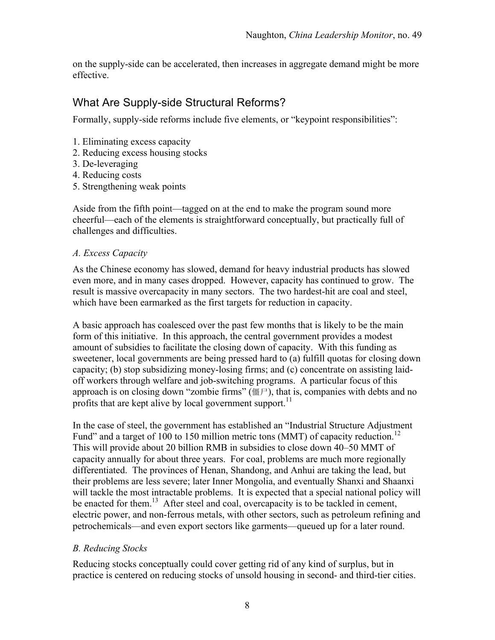on the supply-side can be accelerated, then increases in aggregate demand might be more effective.

## What Are Supply-side Structural Reforms?

Formally, supply-side reforms include five elements, or "keypoint responsibilities":

- 1. Eliminating excess capacity
- 2. Reducing excess housing stocks
- 3. De-leveraging
- 4. Reducing costs
- 5. Strengthening weak points

Aside from the fifth point—tagged on at the end to make the program sound more cheerful—each of the elements is straightforward conceptually, but practically full of challenges and difficulties.

#### *A. Excess Capacity*

As the Chinese economy has slowed, demand for heavy industrial products has slowed even more, and in many cases dropped. However, capacity has continued to grow. The result is massive overcapacity in many sectors. The two hardest-hit are coal and steel, which have been earmarked as the first targets for reduction in capacity.

A basic approach has coalesced over the past few months that is likely to be the main form of this initiative. In this approach, the central government provides a modest amount of subsidies to facilitate the closing down of capacity. With this funding as sweetener, local governments are being pressed hard to (a) fulfill quotas for closing down capacity; (b) stop subsidizing money-losing firms; and (c) concentrate on assisting laidoff workers through welfare and job-switching programs. A particular focus of this approach is on closing down "zombie firms" (僵尸), that is, companies with debts and no profits that are kept alive by local government support.<sup>11</sup>

In the case of steel, the government has established an "Industrial Structure Adjustment Fund" and a target of 100 to 150 million metric tons (MMT) of capacity reduction.<sup>12</sup> This will provide about 20 billion RMB in subsidies to close down 40–50 MMT of capacity annually for about three years. For coal, problems are much more regionally differentiated. The provinces of Henan, Shandong, and Anhui are taking the lead, but their problems are less severe; later Inner Mongolia, and eventually Shanxi and Shaanxi will tackle the most intractable problems. It is expected that a special national policy will be enacted for them.<sup>13</sup> After steel and coal, overcapacity is to be tackled in cement, electric power, and non-ferrous metals, with other sectors, such as petroleum refining and petrochemicals—and even export sectors like garments—queued up for a later round.

### *B. Reducing Stocks*

Reducing stocks conceptually could cover getting rid of any kind of surplus, but in practice is centered on reducing stocks of unsold housing in second- and third-tier cities.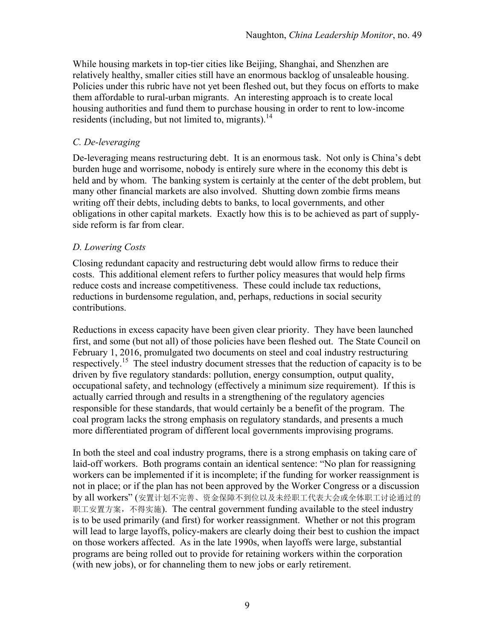While housing markets in top-tier cities like Beijing, Shanghai, and Shenzhen are relatively healthy, smaller cities still have an enormous backlog of unsaleable housing. Policies under this rubric have not yet been fleshed out, but they focus on efforts to make them affordable to rural-urban migrants. An interesting approach is to create local housing authorities and fund them to purchase housing in order to rent to low-income residents (including, but not limited to, migrants). $^{14}$ 

### *C. De-leveraging*

De-leveraging means restructuring debt. It is an enormous task. Not only is China's debt burden huge and worrisome, nobody is entirely sure where in the economy this debt is held and by whom. The banking system is certainly at the center of the debt problem, but many other financial markets are also involved. Shutting down zombie firms means writing off their debts, including debts to banks, to local governments, and other obligations in other capital markets. Exactly how this is to be achieved as part of supplyside reform is far from clear.

#### *D. Lowering Costs*

Closing redundant capacity and restructuring debt would allow firms to reduce their costs. This additional element refers to further policy measures that would help firms reduce costs and increase competitiveness. These could include tax reductions, reductions in burdensome regulation, and, perhaps, reductions in social security contributions.

Reductions in excess capacity have been given clear priority. They have been launched first, and some (but not all) of those policies have been fleshed out. The State Council on February 1, 2016, promulgated two documents on steel and coal industry restructuring respectively.15 The steel industry document stresses that the reduction of capacity is to be driven by five regulatory standards: pollution, energy consumption, output quality, occupational safety, and technology (effectively a minimum size requirement). If this is actually carried through and results in a strengthening of the regulatory agencies responsible for these standards, that would certainly be a benefit of the program. The coal program lacks the strong emphasis on regulatory standards, and presents a much more differentiated program of different local governments improvising programs.

In both the steel and coal industry programs, there is a strong emphasis on taking care of laid-off workers. Both programs contain an identical sentence: "No plan for reassigning workers can be implemented if it is incomplete; if the funding for worker reassignment is not in place; or if the plan has not been approved by the Worker Congress or a discussion by all workers" (安置计划不完善、资金保障不到位以及未经职工代表大会或全体职工讨论通过的 职工安置方案,不得实施). The central government funding available to the steel industry is to be used primarily (and first) for worker reassignment. Whether or not this program will lead to large layoffs, policy-makers are clearly doing their best to cushion the impact on those workers affected. As in the late 1990s, when layoffs were large, substantial programs are being rolled out to provide for retaining workers within the corporation (with new jobs), or for channeling them to new jobs or early retirement.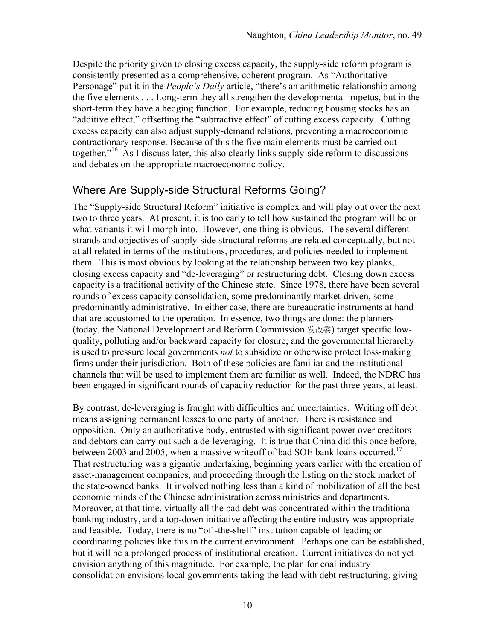Despite the priority given to closing excess capacity, the supply-side reform program is consistently presented as a comprehensive, coherent program. As "Authoritative Personage" put it in the *People's Daily* article, "there's an arithmetic relationship among the five elements . . . Long-term they all strengthen the developmental impetus, but in the short-term they have a hedging function. For example, reducing housing stocks has an "additive effect," offsetting the "subtractive effect" of cutting excess capacity. Cutting excess capacity can also adjust supply-demand relations, preventing a macroeconomic contractionary response. Because of this the five main elements must be carried out together."<sup>16</sup> As I discuss later, this also clearly links supply-side reform to discussions and debates on the appropriate macroeconomic policy.

# Where Are Supply-side Structural Reforms Going?

The "Supply-side Structural Reform" initiative is complex and will play out over the next two to three years. At present, it is too early to tell how sustained the program will be or what variants it will morph into. However, one thing is obvious. The several different strands and objectives of supply-side structural reforms are related conceptually, but not at all related in terms of the institutions, procedures, and policies needed to implement them. This is most obvious by looking at the relationship between two key planks, closing excess capacity and "de-leveraging" or restructuring debt. Closing down excess capacity is a traditional activity of the Chinese state. Since 1978, there have been several rounds of excess capacity consolidation, some predominantly market-driven, some predominantly administrative. In either case, there are bureaucratic instruments at hand that are accustomed to the operation. In essence, two things are done: the planners (today, the National Development and Reform Commission 发改委) target specific lowquality, polluting and/or backward capacity for closure; and the governmental hierarchy is used to pressure local governments *not* to subsidize or otherwise protect loss-making firms under their jurisdiction. Both of these policies are familiar and the institutional channels that will be used to implement them are familiar as well. Indeed, the NDRC has been engaged in significant rounds of capacity reduction for the past three years, at least.

By contrast, de-leveraging is fraught with difficulties and uncertainties. Writing off debt means assigning permanent losses to one party of another. There is resistance and opposition. Only an authoritative body, entrusted with significant power over creditors and debtors can carry out such a de-leveraging. It is true that China did this once before, between 2003 and 2005, when a massive write of bad SOE bank loans occurred.<sup>17</sup> That restructuring was a gigantic undertaking, beginning years earlier with the creation of asset-management companies, and proceeding through the listing on the stock market of the state-owned banks. It involved nothing less than a kind of mobilization of all the best economic minds of the Chinese administration across ministries and departments. Moreover, at that time, virtually all the bad debt was concentrated within the traditional banking industry, and a top-down initiative affecting the entire industry was appropriate and feasible. Today, there is no "off-the-shelf" institution capable of leading or coordinating policies like this in the current environment. Perhaps one can be established, but it will be a prolonged process of institutional creation. Current initiatives do not yet envision anything of this magnitude. For example, the plan for coal industry consolidation envisions local governments taking the lead with debt restructuring, giving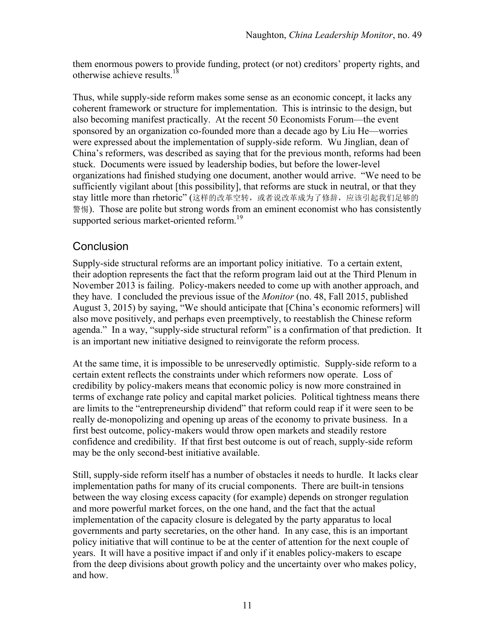them enormous powers to provide funding, protect (or not) creditors' property rights, and otherwise achieve results  $^{18}$ 

Thus, while supply-side reform makes some sense as an economic concept, it lacks any coherent framework or structure for implementation. This is intrinsic to the design, but also becoming manifest practically. At the recent 50 Economists Forum—the event sponsored by an organization co-founded more than a decade ago by Liu He—worries were expressed about the implementation of supply-side reform. Wu Jinglian, dean of China's reformers, was described as saying that for the previous month, reforms had been stuck. Documents were issued by leadership bodies, but before the lower-level organizations had finished studying one document, another would arrive. "We need to be sufficiently vigilant about [this possibility], that reforms are stuck in neutral, or that they stay little more than rhetoric" (这样的改革空转, 或者说改革成为了修辞, 应该引起我们足够的 警惕). Those are polite but strong words from an eminent economist who has consistently supported serious market-oriented reform.<sup>19</sup>

### **Conclusion**

Supply-side structural reforms are an important policy initiative. To a certain extent, their adoption represents the fact that the reform program laid out at the Third Plenum in November 2013 is failing. Policy-makers needed to come up with another approach, and they have. I concluded the previous issue of the *Monitor* (no. 48, Fall 2015, published August 3, 2015) by saying, "We should anticipate that [China's economic reformers] will also move positively, and perhaps even preemptively, to reestablish the Chinese reform agenda." In a way, "supply-side structural reform" is a confirmation of that prediction. It is an important new initiative designed to reinvigorate the reform process.

At the same time, it is impossible to be unreservedly optimistic. Supply-side reform to a certain extent reflects the constraints under which reformers now operate. Loss of credibility by policy-makers means that economic policy is now more constrained in terms of exchange rate policy and capital market policies. Political tightness means there are limits to the "entrepreneurship dividend" that reform could reap if it were seen to be really de-monopolizing and opening up areas of the economy to private business. In a first best outcome, policy-makers would throw open markets and steadily restore confidence and credibility. If that first best outcome is out of reach, supply-side reform may be the only second-best initiative available.

Still, supply-side reform itself has a number of obstacles it needs to hurdle. It lacks clear implementation paths for many of its crucial components. There are built-in tensions between the way closing excess capacity (for example) depends on stronger regulation and more powerful market forces, on the one hand, and the fact that the actual implementation of the capacity closure is delegated by the party apparatus to local governments and party secretaries, on the other hand. In any case, this is an important policy initiative that will continue to be at the center of attention for the next couple of years. It will have a positive impact if and only if it enables policy-makers to escape from the deep divisions about growth policy and the uncertainty over who makes policy, and how.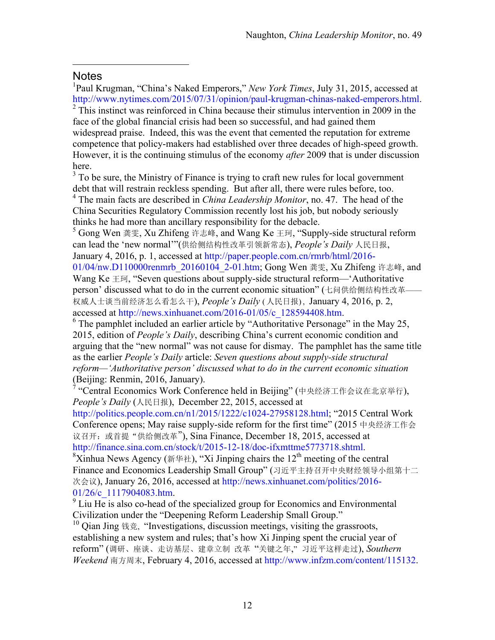### **Notes**

 $\overline{a}$ 

<sup>1</sup>Paul Krugman, "China's Naked Emperors," *New York Times*, July 31, 2015, accessed at http://www.nytimes.com/2015/07/31/opinion/paul-krugman-chinas-naked-emperors.html.<br><sup>2</sup> This instinct was reinforced in China because their stimulus intervention in 2009 in the

face of the global financial crisis had been so successful, and had gained them widespread praise. Indeed, this was the event that cemented the reputation for extreme competence that policy-makers had established over three decades of high-speed growth. However, it is the continuing stimulus of the economy *after* 2009 that is under discussion here.

 $3<sup>3</sup>$  To be sure, the Ministry of Finance is trying to craft new rules for local government debt that will restrain reckless spending. But after all, there were rules before, too.

<sup>4</sup> The main facts are described in *China Leadership Monitor*, no. 47. The head of the China Securities Regulatory Commission recently lost his job, but nobody seriously thinks he had more than ancillary responsibility for the debacle.

<sup>5</sup> Gong Wen 龚雯, Xu Zhifeng 许志峰, and Wang Ke 王珂, "Supply-side structural reform can lead the 'new normal'"(供给侧结构性改革引领新常态), *People's Daily* 人民日报, January 4, 2016, p. 1, accessed at http://paper.people.com.cn/rmrb/html/2016-

01/04/nw.D110000renmrb 20160104 2-01.htm; Gong Wen 龚雯, Xu Zhifeng 许志峰, and Wang Ke 王珂, "Seven questions about supply-side structural reform— 'Authoritative person' discussed what to do in the current economic situation" (七问供给侧结构性改革-权威人士谈当前经济怎么看怎么干), *People's Daily* ( 人民日报) , January 4, 2016, p. 2, accessed at http://news.xinhuanet.com/2016-01/05/c\_128594408.htm.<br><sup>6</sup> The pamphlet included an earlier article by "Authoritative Personage" in the May 25,

2015, edition of *People's Daily*, describing China's current economic condition and arguing that the "new normal" was not cause for dismay. The pamphlet has the same title as the earlier *People's Daily* article: *Seven questions about supply-side structural reform—'Authoritative person' discussed what to do in the current economic situation*

<sup>7</sup> "Central Economics Work Conference held in Beijing" (中央经济工作会议在北京举行), *People's Daily* (人民日报), December 22, 2015, accessed at

http://politics.people.com.cn/n1/2015/1222/c1024-27958128.html; "2015 Central Work Conference opens; May raise supply-side reform for the first time" (2015 中央经济工作会 议召开: 或首提"供给侧改革"), Sina Finance, December 18, 2015, accessed at http://finance.sina.com.cn/stock/t/2015-12-18/doc-ifxmttme5773718.shtml.

<sup>8</sup>Xinhua News Agency (新华社), "Xi Jinping chairs the 12<sup>th</sup> meeting of the central Finance and Economics Leadership Small Group" (习近平主持召开中央财经领导小组第十二 次会议), January 26, 2016, accessed at http://news.xinhuanet.com/politics/2016-

 $01/26/c$  1117904083.htm.<br><sup>9</sup> Liu He is also co-head of the specialized group for Economics and Environmental Civilization under the "Deepening Reform Leadership Small Group."

<sup>10</sup> Qian Jing 钱竞, "Investigations, discussion meetings, visiting the grassroots, establishing a new system and rules; that's how Xi Jinping spent the crucial year of reform" (调研、座谈、走访基层、建章立制 改革 "关键之年," 习近平这样走过), *Southern Weekend* 南方周末, February 4, 2016, accessed at http://www.infzm.com/content/115132.